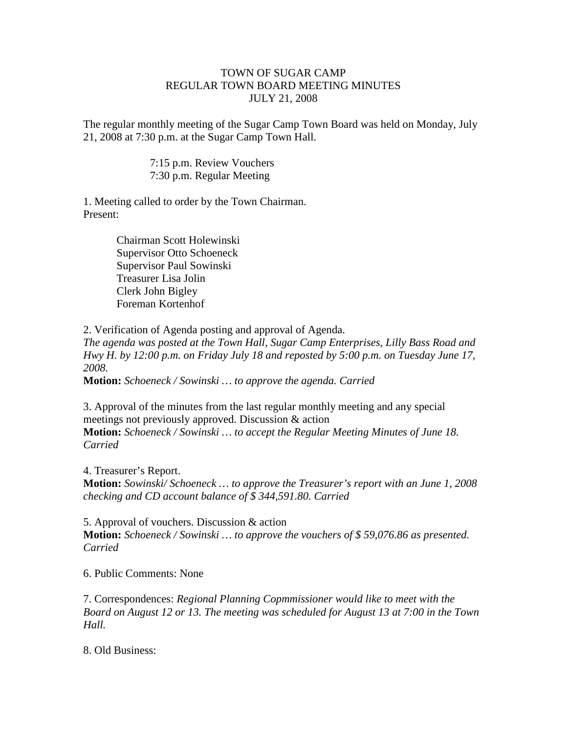## TOWN OF SUGAR CAMP REGULAR TOWN BOARD MEETING MINUTES JULY 21, 2008

The regular monthly meeting of the Sugar Camp Town Board was held on Monday, July 21, 2008 at 7:30 p.m. at the Sugar Camp Town Hall.

> 7:15 p.m. Review Vouchers 7:30 p.m. Regular Meeting

1. Meeting called to order by the Town Chairman. Present:

> Chairman Scott Holewinski Supervisor Otto Schoeneck Supervisor Paul Sowinski Treasurer Lisa Jolin Clerk John Bigley Foreman Kortenhof

2. Verification of Agenda posting and approval of Agenda.

*The agenda was posted at the Town Hall, Sugar Camp Enterprises, Lilly Bass Road and Hwy H. by 12:00 p.m. on Friday July 18 and reposted by 5:00 p.m. on Tuesday June 17, 2008.*

**Motion:** *Schoeneck / Sowinski … to approve the agenda. Carried*

3. Approval of the minutes from the last regular monthly meeting and any special meetings not previously approved. Discussion & action **Motion:** *Schoeneck / Sowinski … to accept the Regular Meeting Minutes of June 18. Carried*

4. Treasurer's Report. **Motion:** *Sowinski/ Schoeneck … to approve the Treasurer's report with an June 1, 2008 checking and CD account balance of \$ 344,591.80. Carried*

5. Approval of vouchers. Discussion & action **Motion:** *Schoeneck / Sowinski … to approve the vouchers of \$ 59,076.86 as presented. Carried*

6. Public Comments: None

7. Correspondences: *Regional Planning Copmmissioner would like to meet with the Board on August 12 or 13. The meeting was scheduled for August 13 at 7:00 in the Town Hall.*

8. Old Business: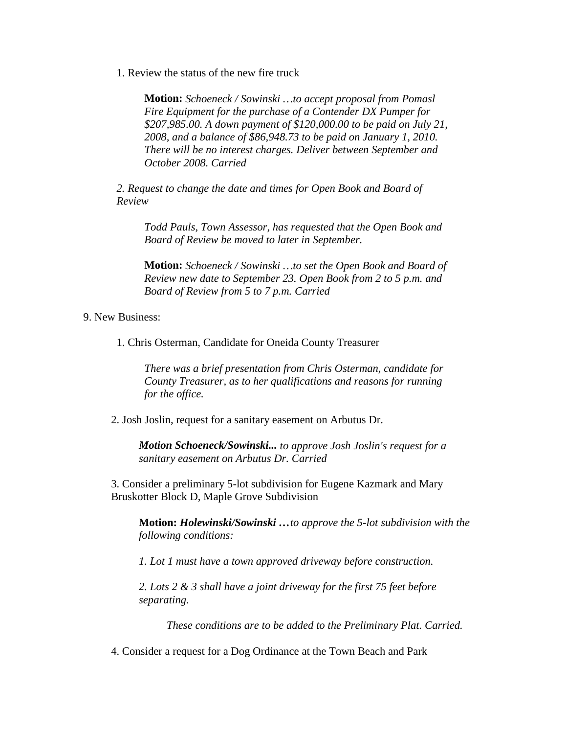1. Review the status of the new fire truck

**Motion:** *Schoeneck / Sowinski …to accept proposal from Pomasl Fire Equipment for the purchase of a Contender DX Pumper for \$207,985.00. A down payment of \$120,000.00 to be paid on July 21, 2008, and a balance of \$86,948.73 to be paid on January 1, 2010. There will be no interest charges. Deliver between September and October 2008. Carried*

*2. Request to change the date and times for Open Book and Board of Review*

*Todd Pauls, Town Assessor, has requested that the Open Book and Board of Review be moved to later in September.*

**Motion:** *Schoeneck / Sowinski …to set the Open Book and Board of Review new date to September 23. Open Book from 2 to 5 p.m. and Board of Review from 5 to 7 p.m. Carried*

9. New Business:

1. Chris Osterman, Candidate for Oneida County Treasurer

*There was a brief presentation from Chris Osterman, candidate for County Treasurer, as to her qualifications and reasons for running for the office.*

2. Josh Joslin, request for a sanitary easement on Arbutus Dr.

*Motion Schoeneck/Sowinski... to approve Josh Joslin's request for a sanitary easement on Arbutus Dr. Carried*

3. Consider a preliminary 5-lot subdivision for Eugene Kazmark and Mary Bruskotter Block D, Maple Grove Subdivision

**Motion:** *Holewinski/Sowinski …to approve the 5-lot subdivision with the following conditions:*

*1. Lot 1 must have a town approved driveway before construction.*

*2. Lots 2 & 3 shall have a joint driveway for the first 75 feet before separating.*

*These conditions are to be added to the Preliminary Plat. Carried.*

4. Consider a request for a Dog Ordinance at the Town Beach and Park